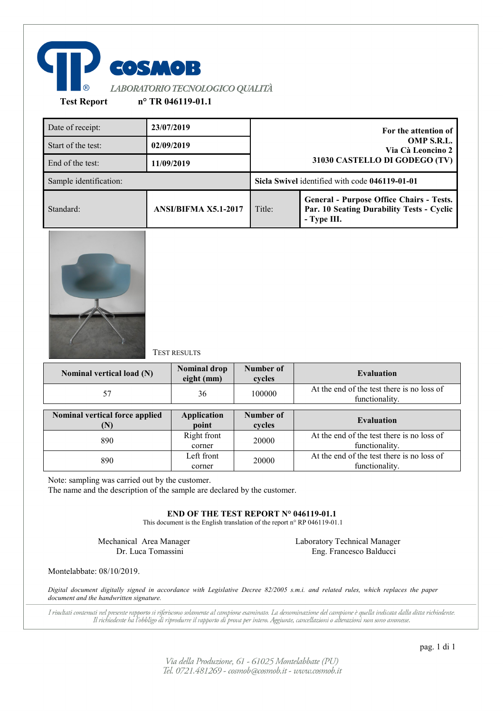

Date of receipt: **23/07/2019 For the attention of OMP S.R.L. Via Cà Leoncino 2 31030 CASTELLO DI GODEGO (TV)** Start of the test: **02/09/2019** End of the test: **11/09/2019** Sample identification: **Sicla Swivel** identified with code **046119-01-01** Standard: **ANSI/BIFMA X5.1-2017** Title: **General - Purpose Office Chairs - Tests. Par. 10 Seating Durability Tests - Cyclic - Type III.**



TEST RESULTS

| Nominal vertical load (N)      | <b>Nominal drop</b><br>eight (mm) | <b>Number of</b><br>cycles | <b>Evaluation</b>                                            |
|--------------------------------|-----------------------------------|----------------------------|--------------------------------------------------------------|
| 57                             | 36                                | 100000                     | At the end of the test there is no loss of<br>functionality. |
| Nominal vertical force applied | <b>Application</b><br>point       | Number of<br>cycles        | <b>Evaluation</b>                                            |
| 890                            | Right front<br>corner             | 20000                      | At the end of the test there is no loss of<br>functionality. |
| 890                            | Left front<br>corner              | 20000                      | At the end of the test there is no loss of<br>functionality. |

Note: sampling was carried out by the customer.

The name and the description of the sample are declared by the customer.

**END OF THE TEST REPORT N° 046119-01.1**

This document is the English translation of the report n° RP 046119-01.1

Mechanical Area Manager Dr. Luca Tomassini

Laboratory Technical Manager Eng. Francesco Balducci

Montelabbate: 08/10/2019.

*Digital document digitally signed in accordance with Legislative Decree 82/2005 s.m.i. and related rules, which replaces the paper document and the handwritten signature.*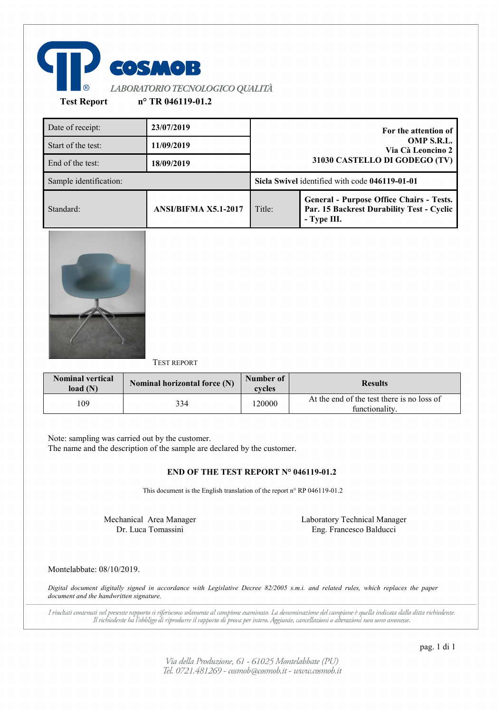

Date of receipt: **23/07/2019 For the attention of OMP S.R.L. Via Cà Leoncino 2 31030 CASTELLO DI GODEGO (TV)** Start of the test: **11/09/2019** End of the test: **18/09/2019** Sample identification: **Sicla Swivel** identified with code **046119-01-01** Standard: **ANSI/BIFMA X5.1-2017** Title: **General - Purpose Office Chairs - Tests. Par. 15 Backrest Durability Test - Cyclic - Type III.**



TEST REPORT

| <b>Nominal vertical</b><br>load(N) | Nominal horizontal force (N) | Number of<br>cycles | <b>Results</b>                                               |
|------------------------------------|------------------------------|---------------------|--------------------------------------------------------------|
| 109                                | 334                          | 20000               | At the end of the test there is no loss of<br>functionality. |

Note: sampling was carried out by the customer.

The name and the description of the sample are declared by the customer.

# **END OF THE TEST REPORT N° 046119-01.2**

This document is the English translation of the report n° RP 046119-01.2

Mechanical Area Manager Dr. Luca Tomassini

Laboratory Technical Manager Eng. Francesco Balducci

# Montelabbate: 08/10/2019.

*Digital document digitally signed in accordance with Legislative Decree 82/2005 s.m.i. and related rules, which replaces the paper document and the handwritten signature.*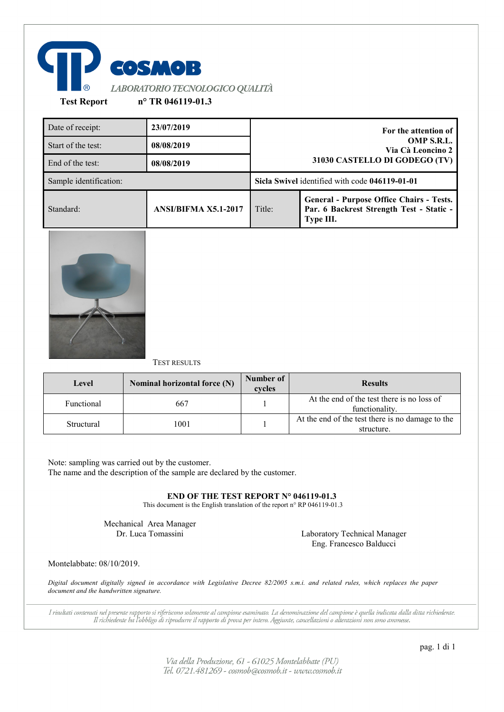

| Date of receipt:       | 23/07/2019                  |                               | For the attention of                                                                                     |
|------------------------|-----------------------------|-------------------------------|----------------------------------------------------------------------------------------------------------|
| Start of the test:     | 08/08/2019                  |                               | OMP S.R.L.<br>Via Cà Leoncino 2                                                                          |
| End of the test:       | 08/08/2019                  | 31030 CASTELLO DI GODEGO (TV) |                                                                                                          |
| Sample identification: |                             |                               | Sicla Swivel identified with code 046119-01-01                                                           |
| Standard:              | <b>ANSI/BIFMA X5.1-2017</b> | Title:                        | <b>General - Purpose Office Chairs - Tests.</b><br>Par. 6 Backrest Strength Test - Static -<br>Type III. |



### TEST RESULTS

| Level      | Nominal horizontal force (N) | Number of<br>cycles | <b>Results</b>                                                 |
|------------|------------------------------|---------------------|----------------------------------------------------------------|
| Functional | 667                          |                     | At the end of the test there is no loss of<br>functionality.   |
| Structural | 1001                         |                     | At the end of the test there is no damage to the<br>structure. |

Note: sampling was carried out by the customer. The name and the description of the sample are declared by the customer.

**END OF THE TEST REPORT N° 046119-01.3**

This document is the English translation of the report n° RP 046119-01.3

Mechanical Area Manager<br>Dr. Luca Tomassini

Laboratory Technical Manager Eng. Francesco Balducci

Montelabbate: 08/10/2019.

*Digital document digitally signed in accordance with Legislative Decree 82/2005 s.m.i. and related rules, which replaces the paper document and the handwritten signature.*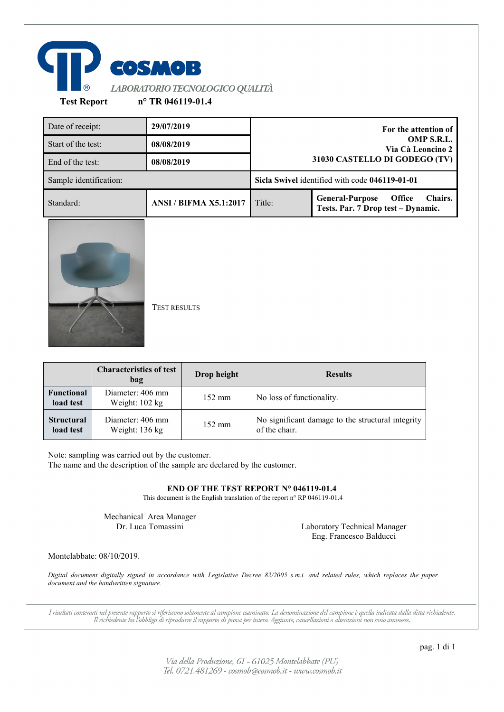

| Date of receipt:       | 29/07/2019                    |        | For the attention of                                                                     |
|------------------------|-------------------------------|--------|------------------------------------------------------------------------------------------|
| Start of the test:     | 08/08/2019                    |        | OMP S.R.L.<br>Via Cà Leoncino 2                                                          |
| End of the test:       | 08/08/2019                    |        | 31030 CASTELLO DI GODEGO (TV)                                                            |
| Sample identification: |                               |        | Sicla Swivel identified with code 046119-01-01                                           |
| Standard:              | <b>ANSI / BIFMA X5.1:2017</b> | Title: | <b>Office</b><br>Chairs.<br><b>General-Purpose</b><br>Tests. Par. 7 Drop test - Dynamic. |
|                        |                               |        |                                                                                          |

TEST RESULTS

|                                | <b>Characteristics of test</b><br>bag        | Drop height      | <b>Results</b>                                                     |
|--------------------------------|----------------------------------------------|------------------|--------------------------------------------------------------------|
| <b>Functional</b><br>load test | Diameter: 406 mm<br>Weight: $102 \text{ kg}$ | $152 \text{ mm}$ | No loss of functionality.                                          |
| <b>Structural</b><br>load test | Diameter: 406 mm<br>Weight: $136 \text{ kg}$ | $152 \text{ mm}$ | No significant damage to the structural integrity<br>of the chair. |

Note: sampling was carried out by the customer.

The name and the description of the sample are declared by the customer.

**END OF THE TEST REPORT N° 046119-01.4**

This document is the English translation of the report n° RP 046119-01.4

Mechanical Area Manager

Dr. Luca Tomassini Laboratory Technical Manager Eng. Francesco Balducci

Montelabbate: 08/10/2019.

*Digital document digitally signed in accordance with Legislative Decree 82/2005 s.m.i. and related rules, which replaces the paper document and the handwritten signature.*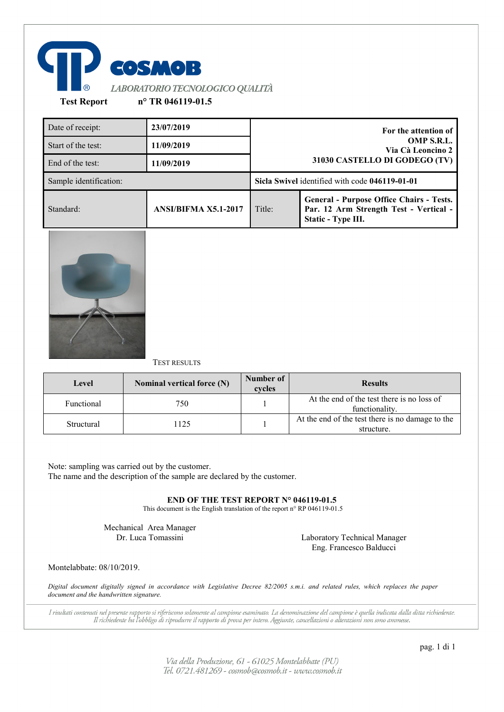

| Date of receipt:       | 23/07/2019                  |                               | For the attention of                                                                                            |
|------------------------|-----------------------------|-------------------------------|-----------------------------------------------------------------------------------------------------------------|
| Start of the test:     | 11/09/2019                  |                               | OMP S.R.L.<br>Via Cà Leoncino 2                                                                                 |
| End of the test:       | 11/09/2019                  | 31030 CASTELLO DI GODEGO (TV) |                                                                                                                 |
| Sample identification: |                             |                               | Sicla Swivel identified with code 046119-01-01                                                                  |
| Standard:              | <b>ANSI/BIFMA X5.1-2017</b> | Title:                        | <b>General - Purpose Office Chairs - Tests.</b><br>Par. 12 Arm Strength Test - Vertical -<br>Static - Type III. |



### TEST RESULTS

| Level      | Nominal vertical force (N) | Number of<br>cycles | <b>Results</b>                                                 |
|------------|----------------------------|---------------------|----------------------------------------------------------------|
| Functional | 750                        |                     | At the end of the test there is no loss of<br>functionality.   |
| Structural | 1125                       |                     | At the end of the test there is no damage to the<br>structure. |

Note: sampling was carried out by the customer. The name and the description of the sample are declared by the customer.

**END OF THE TEST REPORT N° 046119-01.5**

This document is the English translation of the report n° RP 046119-01.5

Mechanical Area Manager

Dr. Luca Tomassini Laboratory Technical Manager Eng. Francesco Balducci

Montelabbate: 08/10/2019.

*Digital document digitally signed in accordance with Legislative Decree 82/2005 s.m.i. and related rules, which replaces the paper document and the handwritten signature.*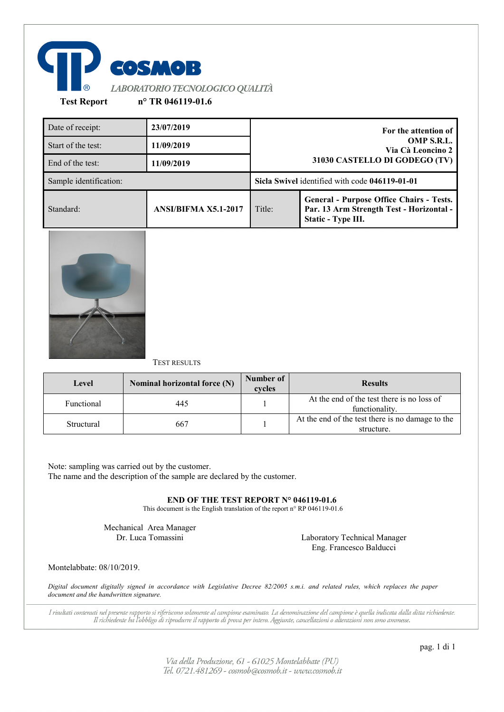

| Date of receipt:       | 23/07/2019                  |                               | For the attention of                                                                                              |
|------------------------|-----------------------------|-------------------------------|-------------------------------------------------------------------------------------------------------------------|
| Start of the test:     | 11/09/2019                  |                               | OMP S.R.L.<br>Via Cà Leoncino 2                                                                                   |
| End of the test:       | 11/09/2019                  | 31030 CASTELLO DI GODEGO (TV) |                                                                                                                   |
| Sample identification: |                             |                               | Sicla Swivel identified with code 046119-01-01                                                                    |
| Standard:              | <b>ANSI/BIFMA X5.1-2017</b> | Title:                        | <b>General - Purpose Office Chairs - Tests.</b><br>Par. 13 Arm Strength Test - Horizontal -<br>Static - Type III. |



### TEST RESULTS

| Level      | Nominal horizontal force (N) | Number of<br>cycles | <b>Results</b>                                                 |
|------------|------------------------------|---------------------|----------------------------------------------------------------|
| Functional | 445                          |                     | At the end of the test there is no loss of<br>functionality.   |
| Structural | 667                          |                     | At the end of the test there is no damage to the<br>structure. |

Note: sampling was carried out by the customer. The name and the description of the sample are declared by the customer.

**END OF THE TEST REPORT N° 046119-01.6**

This document is the English translation of the report n° RP 046119-01.6

Mechanical Area Manager

Dr. Luca Tomassini Laboratory Technical Manager Eng. Francesco Balducci

Montelabbate: 08/10/2019.

*Digital document digitally signed in accordance with Legislative Decree 82/2005 s.m.i. and related rules, which replaces the paper document and the handwritten signature.*